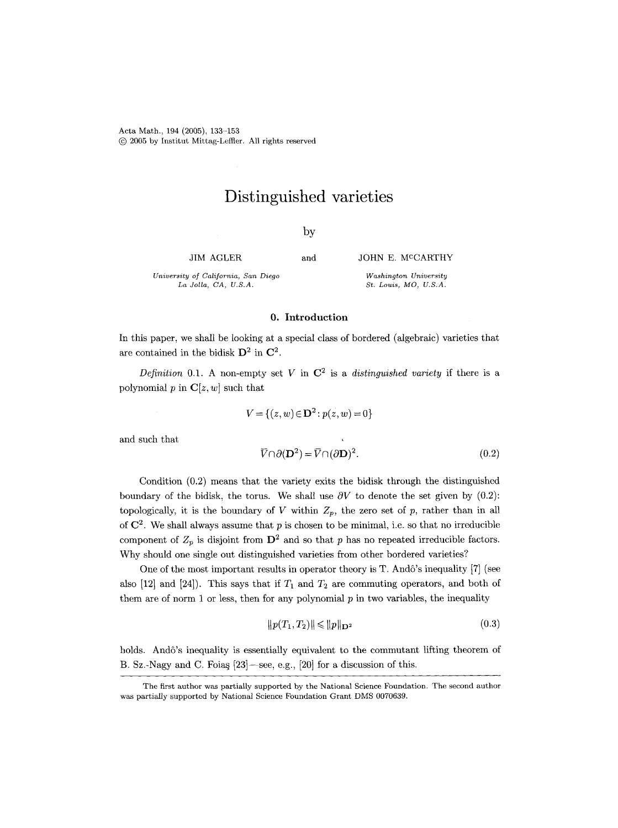Acta Math., 194 (2005), 133-153 (c) 2005 by Institut Mittag-Leffler. All rights reserved

# **Distinguished varieties**

by

JIM AGLER

and JOHN E. M<sup>c</sup>CARTHY

*Washington University St. Louis, MO, U.S.A.* 

*University of California, San Diego La Jolla, CA, U.S.A.* 

# 0. Introduction

In this paper, we shall be looking at a special class of bordered (algebraic) varieties that are contained in the bidisk  $\mathbf{D}^2$  in  $\mathbf{C}^2$ .

*Definition* 0.1. A non-empty set V in  $\mathbb{C}^2$  is a *distinguished variety* if there is a polynomial p in  $C[z, w]$  such that

$$
V = \{(z, w) \in \mathbf{D}^2 : p(z, w) = 0\}
$$

 $\sim 10^7$ 

and such that

$$
\overline{V} \cap \partial(\mathbf{D}^2) = \overline{V} \cap (\partial \mathbf{D})^2.
$$
 (0.2)

Condition (0.2) means that the variety exits the bidisk through the distinguished boundary of the bidisk, the torus. We shall use  $\partial V$  to denote the set given by (0.2): topologically, it is the boundary of V within  $Z_p$ , the zero set of p, rather than in all of  $\mathbb{C}^2$ . We shall always assume that p is chosen to be minimal, i.e. so that no irreducible component of  $Z_p$  is disjoint from  $\mathbf{D}^2$  and so that p has no repeated irreducible factors. Why should one single out distinguished varieties from other bordered varieties?

One of the most important results in operator theory is T. Andô's inequality [7] (see also [12] and [24]). This says that if  $T_1$  and  $T_2$  are commuting operators, and both of them are of norm 1 or less, then for any polynomial  $p$  in two variables, the inequality

$$
||p(T_1, T_2)|| \le ||p||_{\mathbf{D}^2} \tag{0.3}
$$

holds. Andô's inequality is essentially equivalent to the commutant lifting theorem of B. Sz.-Nagy and C. Foias  $[23]$ -see, e.g.,  $[20]$  for a discussion of this.

The first author was partially supported by the National Science Foundation. The second author was partially supported by National Science Foundation Grant DMS 0070639.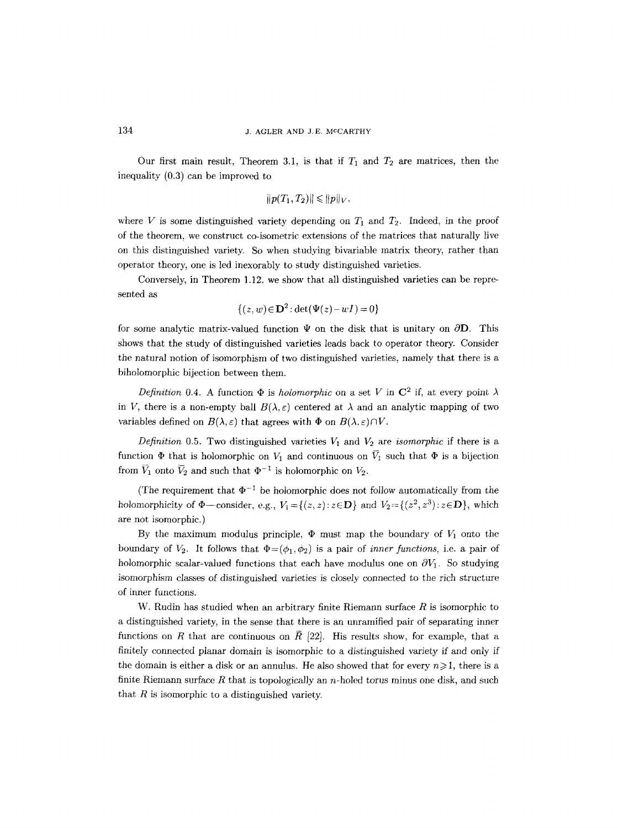Our first main result, Theorem 3.1, is that if  $T_1$  and  $T_2$  are matrices, then the inequality (0.3) can be improved to

$$
||p(T_1,T_2)|| \leq ||p||_V,
$$

where V is some distinguished variety depending on  $T_1$  and  $T_2$ . Indeed, in the proof of the theorem, we construct co-isometric extensions of the matrices that naturally live on this distinguished variety. So when studying bivariable matrix theory, rather than operator theory, one is led inexorably to study distinguished varieties.

Conversely, in Theorem 1.12, we show that all distinguished varieties can be represented as

$$
\{(z,w)\in\mathbf{D}^2:\det(\Psi(z)-wI)=0\}
$$

for some analytic matrix-valued function  $\Psi$  on the disk that is unitary on  $\partial\mathbf{D}$ . This shows that the study of distinguished varieties leads back to operator theory. Consider the natural notion of isomorphism of two distinguished varieties, namely that there is a biholomorphic bijection between them.

*Definition 0.4.* A function  $\Phi$  is *holomorphic* on a set V in  $\mathbb{C}^2$  if, at every point  $\lambda$ in V, there is a non-empty ball  $B(\lambda, \varepsilon)$  centered at  $\lambda$  and an analytic mapping of two variables defined on  $B(\lambda, \varepsilon)$  that agrees with  $\Phi$  on  $B(\lambda, \varepsilon) \cap V$ .

*Definition* 0.5. Two distinguished varieties  $V_1$  and  $V_2$  are *isomorphic* if there is a function  $\Phi$  that is holomorphic on  $V_1$  and continuous on  $\bar{V}_1$  such that  $\Phi$  is a bijection from  $\overline{V}_1$  onto  $\overline{V}_2$  and such that  $\Phi^{-1}$  is holomorphic on  $V_2$ .

(The requirement that  $\Phi^{-1}$  be holomorphic does not follow automatically from the holomorphicity of  $\Phi$ --consider, e.g.,  $V_1 = \{(z, z): z \in \mathbf{D}\}\$ and  $V_2 = \{(z^2, z^3): z \in \mathbf{D}\}\$ , which are not isomorphic.)

By the maximum modulus principle,  $\Phi$  must map the boundary of  $V_1$  onto the boundary of  $V_2$ . It follows that  $\Phi = (\phi_1, \phi_2)$  is a pair of *inner functions*, i.e. a pair of holomorphic scalar-valued functions that each have modulus one on  $\partial V_1$ . So studying isomorphism classes of distinguished varieties is closely connected to the rich structure of inner functions.

W. Rudin has studied when an arbitrary finite Riemann surface  $R$  is isomorphic to a distinguished variety, in the sense that there is an unramified pair of separating inner functions on R that are continuous on  $\bar{R}$  [22]. His results show, for example, that a finitely connected planar domain is isomorphic to a distinguished variety if and only if the domain is either a disk or an annulus. He also showed that for every  $n \geq 1$ , there is a finite Riemann surface  $R$  that is topologically an n-holed torus minus one disk, and such that  $R$  is isomorphic to a distinguished variety.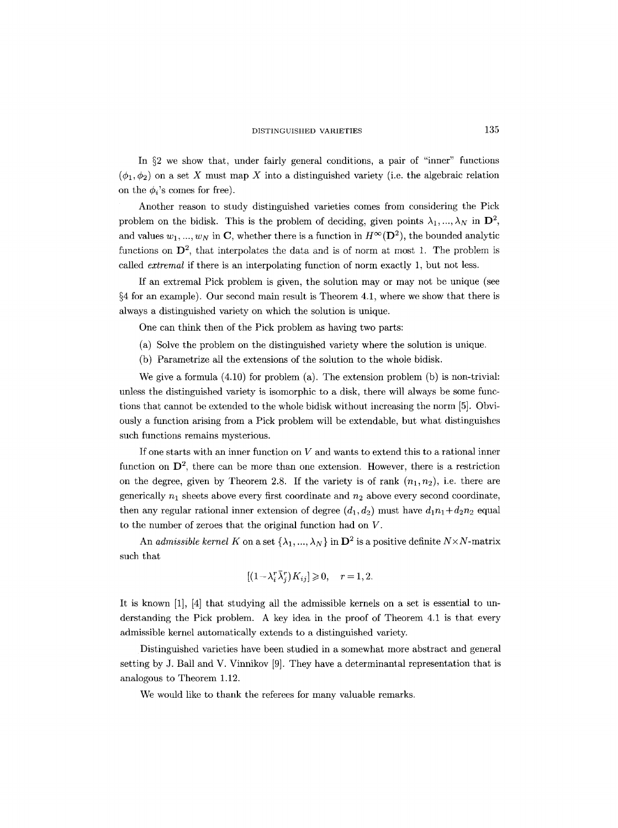In  $\S2$  we show that, under fairly general conditions, a pair of "inner" functions  $(\phi_1, \phi_2)$  on a set X must map X into a distinguished variety (i.e. the algebraic relation on the  $\phi_i$ 's comes for free).

Another reason to study distinguished varieties comes from considering the Pick problem on the bidisk. This is the problem of deciding, given points  $\lambda_1, ..., \lambda_N$  in  $\mathbf{D}^2$ , and values  $w_1, ..., w_N$  in C, whether there is a function in  $H^{\infty}(\mathbf{D}^2)$ , the bounded analytic functions on  $\mathbf{D}^2$ , that interpolates the data and is of norm at most 1. The problem is called *extremal* if there is an interpolating function of norm exactly 1, but not less.

If an extremal Pick problem is given, the solution may or may not be unique (see  $§4$  for an example). Our second main result is Theorem 4.1, where we show that there is always a distinguished variety on which the solution is unique.

One can think then of the Pick problem as having two parts:

- (a) Solve the problem on the distinguished variety where the solution is unique.
- (b) Parametrize all the extensions of the solution to the whole bidisk.

We give a formula (4.10) for problem (a). The extension problem (b) is non-trivial: unless the distinguished variety is isomorphic to a disk, there will always be some functions that cannot be extended to the whole bidisk without increasing the norm [5]. Obviously a function arising from a Pick problem will be extendable, but what distinguishes such functions remains mysterious.

If one starts with an inner function on  $V$  and wants to extend this to a rational inner function on  $\mathbf{D}^2$ , there can be more than one extension. However, there is a restriction on the degree, given by Theorem 2.8. If the variety is of rank  $(n_1, n_2)$ , i.e. there are generically  $n_1$  sheets above every first coordinate and  $n_2$  above every second coordinate, then any regular rational inner extension of degree  $(d_1, d_2)$  must have  $d_1n_1+d_2n_2$  equal to the number of zeroes that the original function had on V.

An *admissible kernel K* on a set  $\{\lambda_1, ..., \lambda_N\}$  in  $\mathbf{D}^2$  is a positive definite  $N \times N$ -matrix such that

$$
[(1 - \lambda_i^r \bar{\lambda}_i^r) K_{ij}] \geq 0, \quad r = 1, 2.
$$

It is known [1], [4] that studying all the admissible kernels on a set is essential to understanding the Pick problem. A key idea in the proof of Theorem 4.1 is that every admissible kernel automatically extends to a distinguished variety.

Distinguished varieties have been studied in a somewhat more abstract and general setting by J. Ball and V. Vinnikov [9]. They have a determinantal representation that is analogous to Theorem 1.12.

We would like to thank the referees for many valuable remarks.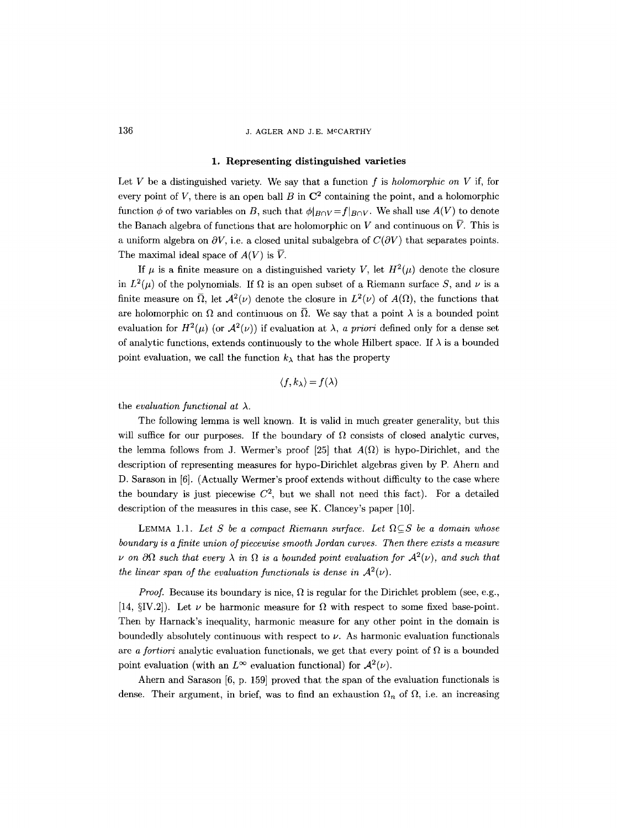## 136 J. AGLER AND J.E. MCCARTHY

#### **1. Representing distinguished varieties**

Let V be a distinguished variety. We say that a function f is *holomorphic on V* if, for every point of V, there is an open ball B in  $\mathbb{C}^2$  containing the point, and a holomorphic function  $\phi$  of two variables on B, such that  $\phi|_{B\cap V} = f|_{B\cap V}$ . We shall use  $A(V)$  to denote the Banach algebra of functions that are holomorphic on V and continuous on  $\overline{V}$ . This is a uniform algebra on  $\partial V$ , i.e. a closed unital subalgebra of  $C(\partial V)$  that separates points. The maximal ideal space of  $A(V)$  is  $\overline{V}$ .

If  $\mu$  is a finite measure on a distinguished variety V, let  $H^2(\mu)$  denote the closure in  $L^2(\mu)$  of the polynomials. If  $\Omega$  is an open subset of a Riemann surface S, and  $\nu$  is a finite measure on  $\overline{\Omega}$ , let  $\mathcal{A}^2(\nu)$  denote the closure in  $L^2(\nu)$  of  $A(\Omega)$ , the functions that are holomorphic on  $\Omega$  and continuous on  $\overline{\Omega}$ . We say that a point  $\lambda$  is a bounded point evaluation for  $H^2(\mu)$  (or  $\mathcal{A}^2(\nu)$ ) if evaluation at  $\lambda$ , a priori defined only for a dense set of analytic functions, extends continuously to the whole Hilbert space. If  $\lambda$  is a bounded point evaluation, we call the function  $k_{\lambda}$  that has the property

$$
\langle f, k_{\lambda} \rangle = f(\lambda)
$$

the *evaluation functional at*  $\lambda$ .

The following lemma is well known. It is valid in much greater generality, but this will suffice for our purposes. If the boundary of  $\Omega$  consists of closed analytic curves, the lemma follows from J. Wermer's proof [25] that  $A(\Omega)$  is hypo-Dirichlet, and the description of representing measures for hypo-Dirichlet algebras given by P. Ahern and D. Sarason in [6]. (Actually Wermer's proof extends without difficulty to the case where the boundary is just piecewise  $C^2$ , but we shall not need this fact). For a detailed description of the measures in this case, see K. Clancey's paper [10].

LEMMA 1.1. Let S be a compact Riemann surface. Let  $\Omega \subseteq S$  be a domain whose *boundary is a finite union of piecewise smooth Jordan curves. Then there exists a measure*   $\nu$  on  $\partial\Omega$  such that every  $\lambda$  in  $\Omega$  is a bounded point evaluation for  $\mathcal{A}^2(\nu)$ , and such that *the linear span of the evaluation functionals is dense in*  $A^2(\nu)$ .

*Proof.* Because its boundary is nice,  $\Omega$  is regular for the Dirichlet problem (see, e.g., [14,  $\S$ IV.2]). Let  $\nu$  be harmonic measure for  $\Omega$  with respect to some fixed base-point. Then by Harnack's inequality, harmonic measure for any other point in the domain is boundedly absolutely continuous with respect to  $\nu$ . As harmonic evaluation functionals are *a fortiori* analytic evaluation functionals, we get that every point of  $\Omega$  is a bounded point evaluation (with an  $L^{\infty}$  evaluation functional) for  $\mathcal{A}^{2}(\nu)$ .

Ahern and Sarason [6, p. 159] proved that the span of the evaluation functionals is dense. Their argument, in brief, was to find an exhaustion  $\Omega_n$  of  $\Omega$ , i.e. an increasing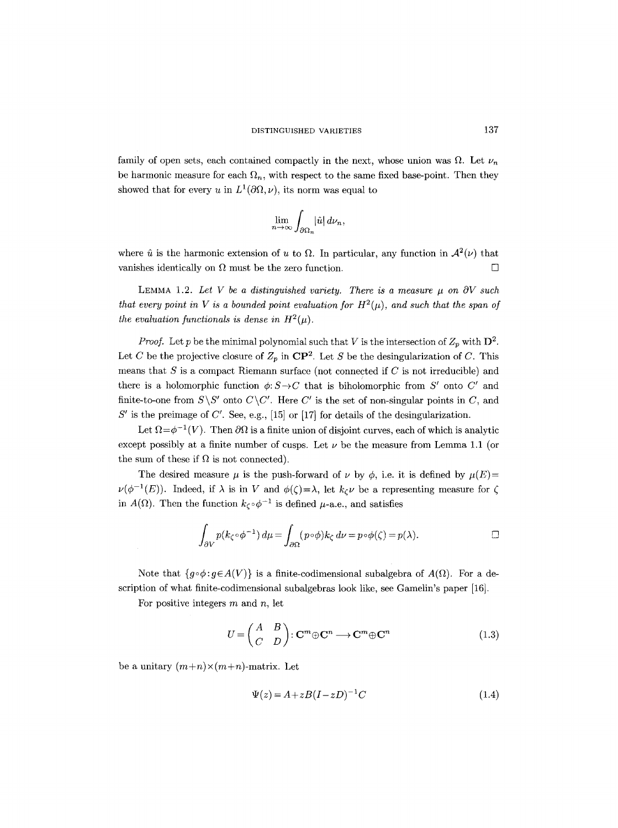family of open sets, each contained compactly in the next, whose union was  $\Omega$ . Let  $\nu_n$ be harmonic measure for each  $\Omega_n$ , with respect to the same fixed base-point. Then they showed that for every u in  $L^1(\partial\Omega, \nu)$ , its norm was equal to

$$
\lim_{n\to\infty}\int_{\partial\Omega_n}|\hat{u}|\,d\nu_n,
$$

where  $\hat{u}$  is the harmonic extension of u to  $\Omega$ . In particular, any function in  $\mathcal{A}^2(\nu)$  that vanishes identically on  $\Omega$  must be the zero function.  $\Box$ 

LEMMA 1.2. Let V be a distinguished variety. There is a measure  $\mu$  on  $\partial V$  such *that every point in V is a bounded point evaluation for*  $H^2(\mu)$ *, and such that the span of the evaluation functionals is dense in*  $H^2(\mu)$ *.* 

*Proof.* Let p be the minimal polynomial such that V is the intersection of  $Z_p$  with  $D^2$ . Let C be the projective closure of  $Z_p$  in  $\mathbb{CP}^2$ . Let S be the desingularization of C. This means that  $S$  is a compact Riemann surface (not connected if  $C$  is not irreducible) and there is a holomorphic function  $\phi: S \rightarrow C$  that is biholomorphic from S' onto C' and finite-to-one from  $S\ S'$  onto  $C\ C'$ . Here  $C'$  is the set of non-singular points in  $C$ , and  $S'$  is the preimage of C'. See, e.g., [15] or [17] for details of the desingularization.

Let  $\Omega = \phi^{-1}(V)$ . Then  $\partial\Omega$  is a finite union of disjoint curves, each of which is analytic except possibly at a finite number of cusps. Let  $\nu$  be the measure from Lemma 1.1 (or the sum of these if  $\Omega$  is not connected).

The desired measure  $\mu$  is the push-forward of  $\nu$  by  $\phi$ , i.e. it is defined by  $\mu(E)=$  $\nu(\phi^{-1}(E))$ . Indeed, if  $\lambda$  is in V and  $\phi(\zeta) = \lambda$ , let  $k_{\zeta} \nu$  be a representing measure for  $\zeta$ in  $A(\Omega)$ . Then the function  $k_{\zeta} \circ \phi^{-1}$  is defined  $\mu$ -a.e., and satisfies

$$
\int_{\partial V} p(k_{\zeta} \circ \phi^{-1}) d\mu = \int_{\partial \Omega} (p \circ \phi) k_{\zeta} d\nu = p \circ \phi(\zeta) = p(\lambda). \qquad \Box
$$

Note that  $\{g \circ \phi : g \in A(V)\}$  is a finite-codimensional subalgebra of  $A(\Omega)$ . For a description of what finite-codimensional subalgebras look like, see Gamelin's paper [16].

For positive integers  $m$  and  $n$ , let

 $\hat{\mathcal{A}}$ 

$$
U = \begin{pmatrix} A & B \\ C & D \end{pmatrix} : \mathbf{C}^m \oplus \mathbf{C}^n \longrightarrow \mathbf{C}^m \oplus \mathbf{C}^n
$$
 (1.3)

be a unitary  $(m+n) \times (m+n)$ -matrix. Let

$$
\Psi(z) = A + zB(I - zD)^{-1}C\tag{1.4}
$$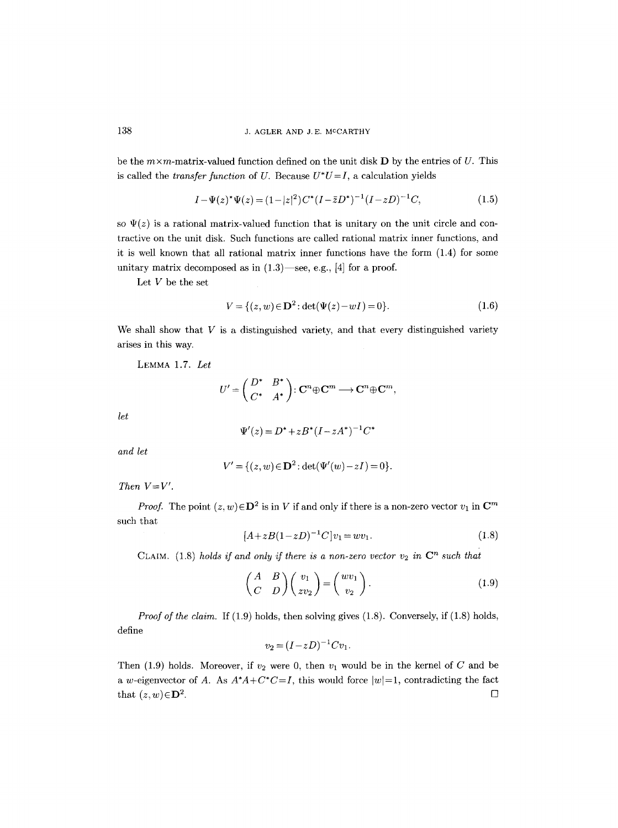be the  $m \times m$ -matrix-valued function defined on the unit disk **D** by the entries of U. This is called the *transfer function* of U. Because  $U^*U=I$ , a calculation yields

$$
I - \Psi(z)^{*} \Psi(z) = (1 - |z|^{2}) C^{*} (I - \bar{z} D^{*})^{-1} (I - z D)^{-1} C,
$$
\n(1.5)

so  $\Psi(z)$  is a rational matrix-valued function that is unitary on the unit circle and contractive on the unit disk. Such functions are called rational matrix inner functions, and it is well known that all rational matrix inner functions have the form (1.4) for some unitary matrix decomposed as in  $(1.3)$ —see, e.g., [4] for a proof.

Let  $V$  be the set

$$
V = \{(z, w) \in \mathbf{D}^2 : \det(\Psi(z) - wI) = 0\}.
$$
 (1.6)

We shall show that  $V$  is a distinguished variety, and that every distinguished variety arises in this way.

LEMMA 1.7. *Let* 

$$
U'=\begin{pmatrix}D^*&B^*\\ C^*&A^*\end{pmatrix}\colon\mathbf{C}^n\oplus\mathbf{C}^m\longrightarrow\mathbf{C}^n\oplus\mathbf{C}^m,
$$

*let* 

$$
\Psi'(z) = D^* + zB^* (I - zA^*)^{-1} C^*
$$

*and let* 

$$
V' = \{ (z, w) \in \mathbf{D}^2 : \det(\Psi'(w) - zI) = 0 \}.
$$

*Then V=V'.* 

*Proof.* The point  $(z, w) \in \mathbf{D}^2$  is in V if and only if there is a non-zero vector  $v_1$  in  $\mathbf{C}^m$ such that

$$
[A + zB(1 - zD)^{-1}C]v_1 = wv_1.
$$
\n(1.8)

CLAIM. (1.8) *holds if and only if there is a non-zero vector*  $v_2$  in  $\mathbb{C}^n$  such that

$$
\begin{pmatrix} A & B \ C & D \end{pmatrix} \begin{pmatrix} v_1 \\ zv_2 \end{pmatrix} = \begin{pmatrix} w v_1 \\ v_2 \end{pmatrix}.
$$
 (1.9)

*Proof of the claim.* If (1.9) holds, then solving gives (1.8). Conversely, if (1.8) holds, define

$$
v_2 = (I - zD)^{-1}Cv_1.
$$

Then (1.9) holds. Moreover, if  $v_2$  were 0, then  $v_1$  would be in the kernel of C and be a w-eigenvector of A. As  $A^*A + C^*C = I$ , this would force  $|w|=1$ , contradicting the fact that  $(z,w) \in \mathbf{D}^2$ .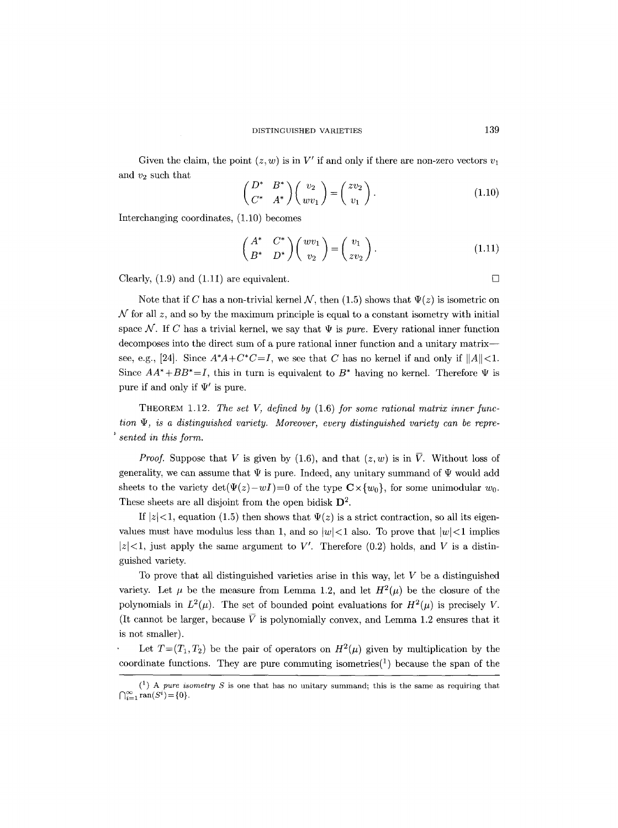Given the claim, the point  $(z, w)$  is in V' if and only if there are non-zero vectors  $v_1$ and  $v_2$  such that

$$
\begin{pmatrix} D^* & B^* \\ C^* & A^* \end{pmatrix} \begin{pmatrix} v_2 \\ wv_1 \end{pmatrix} = \begin{pmatrix} zv_2 \\ v_1 \end{pmatrix} . \tag{1.10}
$$

Interchanging coordinates, (1.10) becomes

$$
\begin{pmatrix} A^* & C^* \\ B^* & D^* \end{pmatrix} \begin{pmatrix} wv_1 \\ v_2 \end{pmatrix} = \begin{pmatrix} v_1 \\ zv_2 \end{pmatrix} . \tag{1.11}
$$

Clearly,  $(1.9)$  and  $(1.11)$  are equivalent.

Note that if C has a non-trivial kernel N, then (1.5) shows that  $\Psi(z)$  is isometric on  $N$  for all z, and so by the maximum principle is equal to a constant isometry with initial space N. If C has a trivial kernel, we say that  $\Psi$  is *pure.* Every rational inner function decomposes into the direct sum of a pure rational inner function and a unitary matrix- see, e.g., [24]. Since  $A^*A + C^*C = I$ , we see that C has no kernel if and only if  $||A|| < 1$ . Since  $AA^*+BB^*=I$ , this in turn is equivalent to  $B^*$  having no kernel. Therefore  $\Psi$  is pure if and only if  $\Psi'$  is pure.

THEOREM 1.12. *The set V, defined by* (1.6) *for some rational matrix inner function ip, is a distinguished variety. Moreover, every distinguished variety can be represented in this form.* 

*Proof.* Suppose that V is given by (1.6), and that  $(z, w)$  is in  $\overline{V}$ . Without loss of generality, we can assume that  $\Psi$  is pure. Indeed, any unitary summand of  $\Psi$  would add sheets to the variety  $det(\Psi(z)-wI)=0$  of the type  $\mathbb{C}\times\{w_0\}$ , for some unimodular  $w_0$ . These sheets are all disjoint from the open bidisk  $\mathbf{D}^2$ .

If  $|z| < 1$ , equation (1.5) then shows that  $\Psi(z)$  is a strict contraction, so all its eigenvalues must have modulus less than 1, and so  $|w| < 1$  also. To prove that  $|w| < 1$  implies  $|z|<1$ , just apply the same argument to V'. Therefore (0.2) holds, and V is a distinguished variety.

To prove that all distinguished varieties arise in this way, let V be a distinguished variety. Let  $\mu$  be the measure from Lemma 1.2, and let  $H^2(\mu)$  be the closure of the polynomials in  $L^2(\mu)$ . The set of bounded point evaluations for  $H^2(\mu)$  is precisely V. (It cannot be larger, because  $\overline{V}$  is polynomially convex, and Lemma 1.2 ensures that it is not smaller).

Let  $T=(T_1,T_2)$  be the pair of operators on  $H^2(\mu)$  given by multiplication by the coordinate functions. They are pure commuting isometries<sup>(1)</sup> because the span of the

 $(1)$  A *pure isometry S* is one that has no unitary summand; this is the same as requiring that  $\bigcap_{i=1}^{\infty} \text{ran}(S^i) = \{0\}.$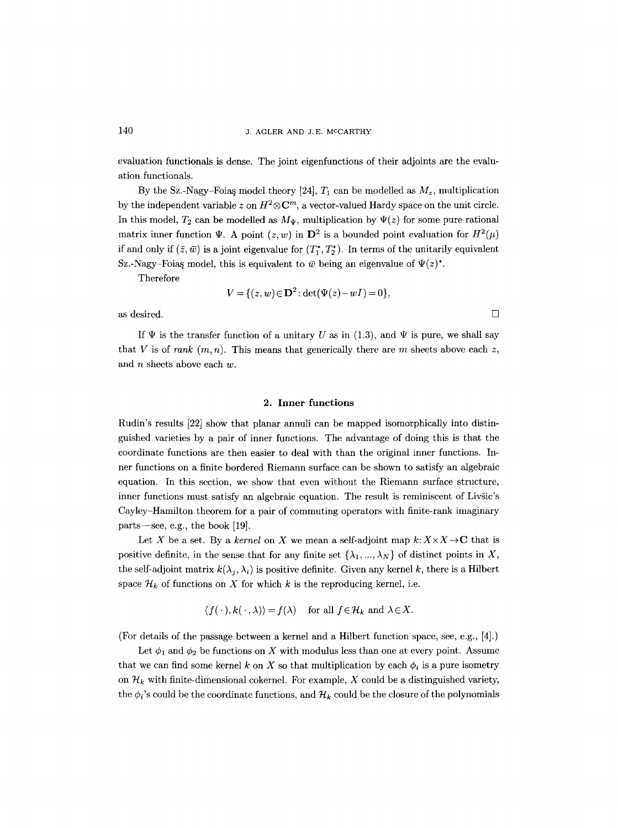evaluation functionals is dense. The joint eigenfunctions of their adjoints are the evaluation functionals.

By the Sz.-Nagy-Foias model theory [24],  $T_1$  can be modelled as  $M_z$ , multiplication by the independent variable z on  $H^2 \otimes \mathbb{C}^m$ , a vector-valued Hardy space on the unit circle. In this model,  $T_2$  can be modelled as  $M_{\Psi}$ , multiplication by  $\Psi(z)$  for some pure rational matrix inner function  $\Psi$ . A point  $(z, w)$  in  $\mathbf{D}^2$  is a bounded point evaluation for  $H^2(\mu)$ if and only if  $(\bar{z}, \bar{w})$  is a joint eigenvalue for  $(T_1^*, T_2^*)$ . In terms of the unitarily equivalent Sz.-Nagy-Foias model, this is equivalent to  $\bar{w}$  being an eigenvalue of  $\Psi(z)^*$ .

Therefore

$$
V = \{ (z, w) \in \mathbf{D}^2 : \det(\Psi(z) - wI) = 0 \},\
$$

as desired.  $\Box$ 

If  $\Psi$  is the transfer function of a unitary U as in (1.3), and  $\Psi$  is pure, we shall say that V is of *rank*  $(m, n)$ . This means that generically there are m sheets above each z, and  $n$  sheets above each  $w$ .

#### **2. Inner functions**

Rudin's results [22] show that planar annuli can be mapped isomorphically into distinguished varieties by a pair of inner functions. The advantage of doing this is that the coordinate functions are then easier to deal with than the original inner functions. Inner functions on a finite bordered Riemann surface can be shown to satisfy an algebraic equation. In this section, we show that even without the Riemann surface structure, inner functions must satisfy an algebraic equation. The result is reminiscent of Livšic's Cayley-Hamilton theorem for a pair of commuting operators with finite-rank imaginary parts--see, e.g., the book [19].

Let X be a set. By a *kernel* on X we mean a self-adjoint map  $k: X \times X \rightarrow \mathbb{C}$  that is positive definite, in the sense that for any finite set  $\{\lambda_1, ..., \lambda_N\}$  of distinct points in X, the self-adjoint matrix  $k(\lambda_i, \lambda_i)$  is positive definite. Given any kernel k, there is a Hilbert space  $\mathcal{H}_k$  of functions on X for which k is the reproducing kernel, i.e.

$$
\langle f(\cdot), k(\cdot, \lambda) \rangle = f(\lambda)
$$
 for all  $f \in \mathcal{H}_k$  and  $\lambda \in X$ .

(For details of the passage between a kernel and a Hilbert function space, see, e.g., [4].)

Let  $\phi_1$  and  $\phi_2$  be functions on X with modulus less than one at every point. Assume that we can find some kernel k on X so that multiplication by each  $\phi_i$  is a pure isometry on  $\mathcal{H}_k$  with finite-dimensional cokernel. For example, X could be a distinguished variety, the  $\phi_i$ 's could be the coordinate functions, and  $\mathcal{H}_k$  could be the closure of the polynomials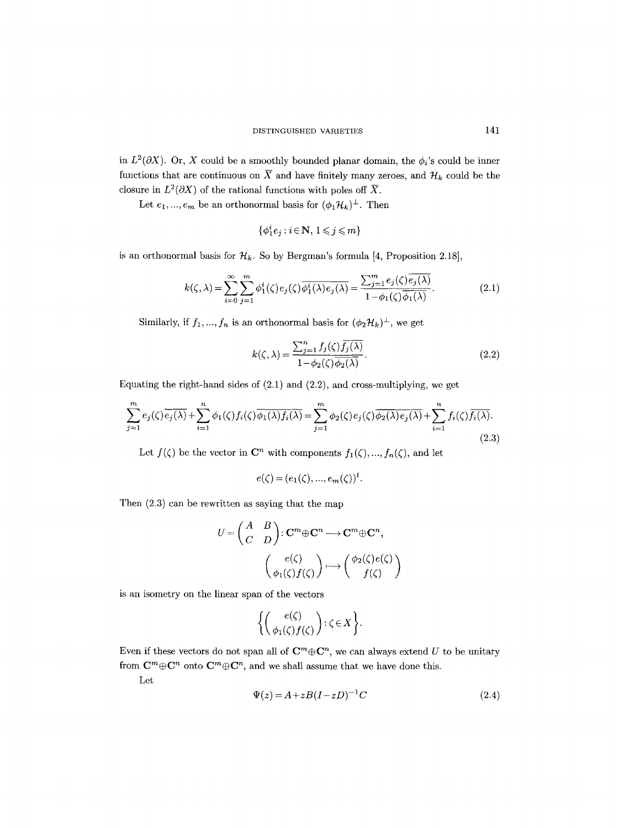in  $L^2(\partial X)$ . Or, X could be a smoothly bounded planar domain, the  $\phi_i$ 's could be inner functions that are continuous on  $\overline{X}$  and have finitely many zeroes, and  $\mathcal{H}_k$  could be the closure in  $L^2(\partial X)$  of the rational functions with poles off  $\overline{X}$ .

Let  $e_1,...,e_m$  be an orthonormal basis for  $(\phi_1 \mathcal{H}_k)^\perp.$  Then

$$
\{\phi_1^ie_j:i\!\in\!\mathbf{N},\,1\!\leqslant\!j\!\leqslant\!m\}
$$

is an orthonormal basis for  $\mathcal{H}_k$ . So by Bergman's formula [4, Proposition 2.18],

$$
k(\zeta,\lambda) = \sum_{i=0}^{\infty} \sum_{j=1}^{m} \phi_1^i(\zeta) e_j(\zeta) \overline{\phi_1^i(\lambda) e_j(\lambda)} = \frac{\sum_{j=1}^{m} e_j(\zeta) \overline{e_j(\lambda)}}{1 - \phi_1(\zeta) \overline{\phi_1(\lambda)}}.
$$
(2.1)

Similarly, if  $f_1, ..., f_n$  is an orthonormal basis for  $(\phi_2 \mathcal{H}_k)^{\perp}$ , we get

$$
k(\zeta,\lambda) = \frac{\sum_{j=1}^{n} f_j(\zeta) \overline{f_j(\lambda)}}{1 - \phi_2(\zeta) \overline{\phi_2(\lambda)}}.
$$
\n(2.2)

Equating the right-hand sides of (2.1) and (2.2), and cross-multiplying, we get

$$
\sum_{j=1}^{m} e_j(\zeta) \overline{e_j(\lambda)} + \sum_{i=1}^{n} \phi_1(\zeta) f_i(\zeta) \overline{\phi_1(\lambda) f_i(\lambda)} = \sum_{j=1}^{m} \phi_2(\zeta) e_j(\zeta) \overline{\phi_2(\lambda) e_j(\lambda)} + \sum_{i=1}^{n} f_i(\zeta) \overline{f_i(\lambda)}.
$$
\n(2.3)

Let  $f(\zeta)$  be the vector in  $\mathbb{C}^n$  with components  $f_1(\zeta),..., f_n(\zeta)$ , and let

$$
e(\zeta) = (e_1(\zeta), ..., e_m(\zeta))^t.
$$

Then (2.3) can be rewritten as saying that the map

$$
U = \begin{pmatrix} A & B \\ C & D \end{pmatrix} : \mathbf{C}^m \oplus \mathbf{C}^n \longrightarrow \mathbf{C}^m \oplus \mathbf{C}^n,
$$

$$
\begin{pmatrix} e(\zeta) \\ \phi_1(\zeta) f(\zeta) \end{pmatrix} \longmapsto \begin{pmatrix} \phi_2(\zeta) e(\zeta) \\ f(\zeta) \end{pmatrix}
$$

is an isometry on the linear span of the vectors

$$
\biggl\{ \left( \begin{array}{c} e(\zeta) \\ \phi_1(\zeta) f(\zeta) \end{array} \right): \zeta \in X \biggr\}.
$$

Even if these vectors do not span all of  $\mathbb{C}^m \oplus \mathbb{C}^n$ , we can always extend U to be unitary from  $\mathbf{C}^m \oplus \mathbf{C}^n$  onto  $\mathbf{C}^m \oplus \mathbf{C}^n$ , and we shall assume that we have done this.

Let

$$
\Psi(z) = A + zB(I - zD)^{-1}C\tag{2.4}
$$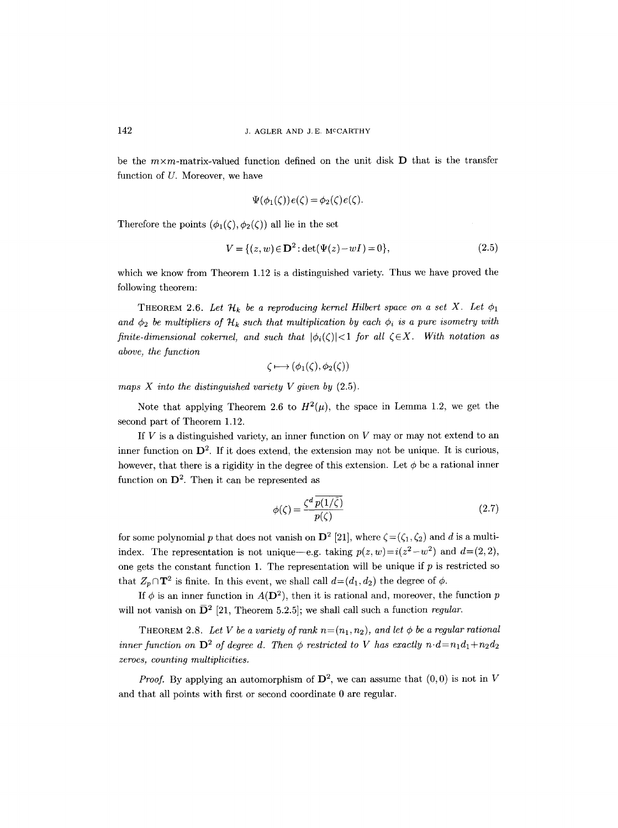be the  $m \times m$ -matrix-valued function defined on the unit disk D that is the transfer function of U. Moreover, we have

$$
\Psi(\phi_1(\zeta))\,e(\zeta) = \phi_2(\zeta)\,e(\zeta).
$$

Therefore the points  $(\phi_1(\zeta), \phi_2(\zeta))$  all lie in the set

$$
V = \{(z, w) \in \mathbf{D}^2 : \det(\Psi(z) - wI) = 0\},\tag{2.5}
$$

which we know from Theorem 1.12 is a distinguished variety. Thus we have proved the following theorem:

THEOREM 2.6. Let  $\mathcal{H}_k$  be a reproducing kernel Hilbert space on a set X. Let  $\phi_1$ and  $\phi_2$  be multipliers of  $\mathcal{H}_k$  such that multiplication by each  $\phi_i$  is a pure isometry with *finite-dimensional cokernel, and such that*  $|\phi_i(\zeta)| < 1$  *for all*  $\zeta \in X$ *. With notation as above, the function* 

$$
\zeta \longmapsto (\phi_1(\zeta), \phi_2(\zeta))
$$

*maps X into the distinguished variety V given by* (2.5).

Note that applying Theorem 2.6 to  $H^2(\mu)$ , the space in Lemma 1.2, we get the second part of Theorem 1.12.

If  $V$  is a distinguished variety, an inner function on  $V$  may or may not extend to an inner function on  $\mathbf{D}^2$ . If it does extend, the extension may not be unique. It is curious, however, that there is a rigidity in the degree of this extension. Let  $\phi$  be a rational inner function on  $\mathbf{D}^2$ . Then it can be represented as

$$
\phi(\zeta) = \frac{\zeta^d \, p(1/\bar{\zeta})}{p(\zeta)}\tag{2.7}
$$

for some polynomial p that does not vanish on  $\mathbf{D}^2$  [21], where  $\zeta = (\zeta_1, \zeta_2)$  and d is a multiindex. The representation is not unique—e.g. taking  $p(z, w) = i(z^2-w^2)$  and  $d=(2, 2)$ , one gets the constant function 1. The representation will be unique if  $p$  is restricted so that  $Z_p \cap \mathbf{T}^2$  is finite. In this event, we shall call  $d=(d_1, d_2)$  the degree of  $\phi$ .

If  $\phi$  is an inner function in  $A(D^2)$ , then it is rational and, moreover, the function p will not vanish on  $\bar{D}^2$  [21, Theorem 5.2.5]; we shall call such a function *regular*.

THEOREM 2.8. Let V be a variety of rank  $n=(n_1,n_2)$ , and let  $\phi$  be a regular rational *inner function on*  $\mathbf{D}^2$  *of degree d. Then*  $\phi$  *restricted to V has exactly n.d=n<sub>1</sub>d<sub>1</sub>+n<sub>2</sub>d<sub>2</sub> zeroes, counting multiplicities.* 

*Proof.* By applying an automorphism of  $\mathbf{D}^2$ , we can assume that  $(0,0)$  is not in V and that all points with first or second coordinate 0 are regular.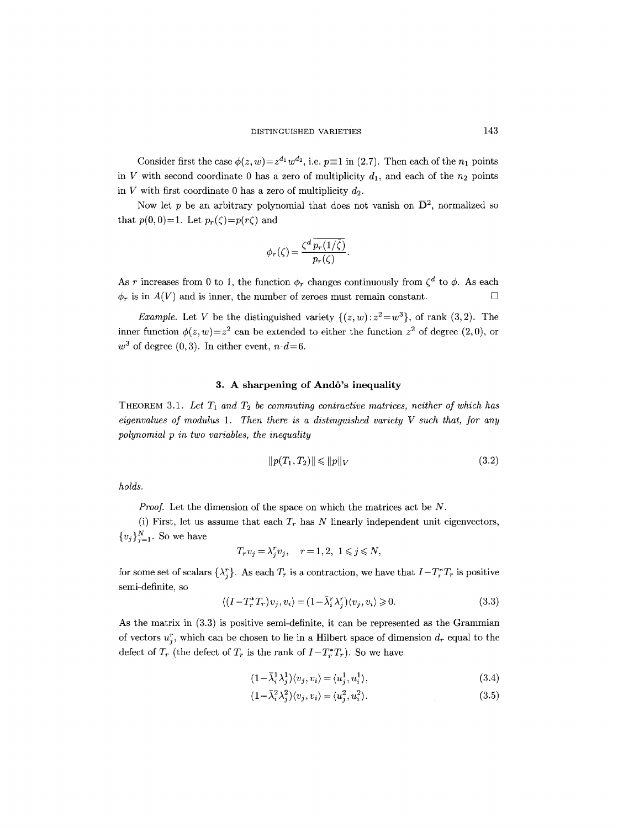Consider first the case  $\phi(z, w) = z^{d_1} w^{d_2}$ , i.e.  $p \equiv 1$  in (2.7). Then each of the  $n_1$  points in V with second coordinate 0 has a zero of multiplicity  $d_1$ , and each of the  $n_2$  points in V with first coordinate 0 has a zero of multiplicity  $d_2$ .

Now let p be an arbitrary polynomial that does not vanish on  $\bar{\mathbf{D}}^2$ , normalized so that  $p(0, 0)=1$ . Let  $p_r(\zeta)=p(r\zeta)$  and

$$
\phi_r(\zeta) = \frac{\zeta^d \, \overline{p_r(1/\overline{\zeta})}}{p_r(\zeta)}.
$$

As r increases from 0 to 1, the function  $\phi_r$  changes continuously from  $\zeta^d$  to  $\phi$ . As each  $\phi_r$  is in  $A(V)$  and is inner, the number of zeroes must remain constant.

*Example.* Let V be the distinguished variety  $\{(z, w): z^2 = w^3\}$ , of rank  $(3, 2)$ . The inner function  $\phi(z, w) = z^2$  can be extended to either the function  $z^2$  of degree (2,0), or  $w^3$  of degree (0,3). In either event,  $n \cdot d = 6$ .

# 3. A sharpening of And6's inequality

THEOREM 3.1. Let  $T_1$  and  $T_2$  be commuting contractive matrices, neither of which has *eigenvalues of modulus 1. Then there is a distinguished variety V such that, for any polynomial p in two variables, the inequality* 

$$
||p(T_1, T_2)|| \le ||p||_V \tag{3.2}
$$

*holds.* 

*Proof.* Let the dimension of the space on which the matrices act be N.

(i) First, let us assume that each  $T_r$  has N linearly independent unit eigenvectors,  ${v_j}_{i=1}^N$ . So we have

$$
T_r v_j = \lambda_j^r v_j, \quad r = 1, 2, \ 1 \leq j \leq N,
$$

for some set of scalars  $\{\lambda_i^r\}$ . As each  $T_r$  is a contraction, we have that  $I-T_r^*T_r$  is positive semi-definite, so

$$
\langle (I - T_r^* T_r) v_j, v_i \rangle = (1 - \bar{\lambda}_i^r \lambda_j^r) \langle v_j, v_i \rangle \ge 0.
$$
\n(3.3)

As the matrix in (3.3) is positive semi-definite, it can be represented as the Grammian of vectors  $u_i^r$ , which can be chosen to lie in a Hilbert space of dimension  $d_r$  equal to the defect of  $T_r$  (the defect of  $T_r$  is the rank of  $I-T_r^*T_r$ ). So we have

$$
(1 - \bar{\lambda}_i^1 \lambda_j^1)(v_j, v_i) = \langle u_j^1, u_i^1 \rangle,\tag{3.4}
$$

$$
(1 - \bar{\lambda}_i^2 \lambda_j^2) \langle v_j, v_i \rangle = \langle u_j^2, u_i^2 \rangle. \tag{3.5}
$$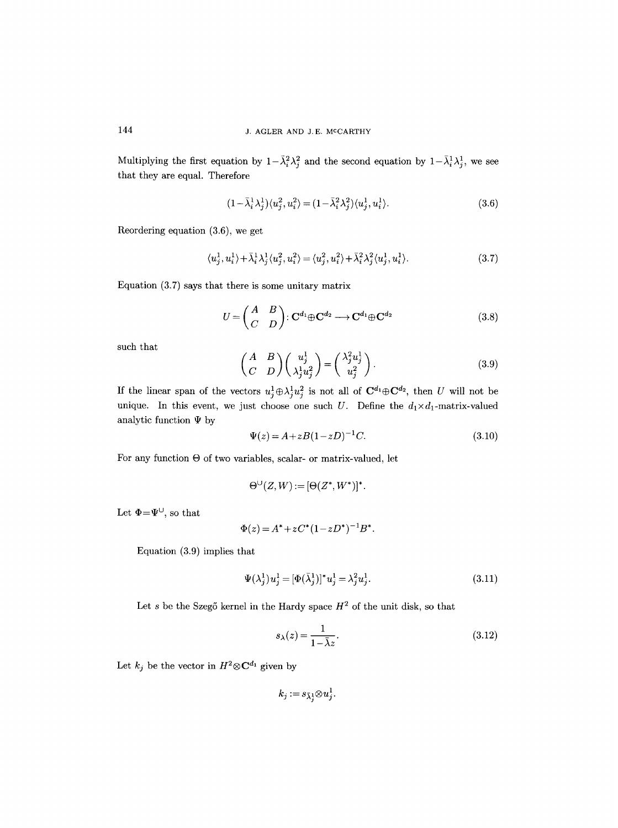Multiplying the first equation by  $1-\bar{\lambda}_i^2 \lambda_j^2$  and the second equation by  $1-\bar{\lambda}_i^1 \lambda_j^1$ , we see that they are equal. Therefore

$$
(1 - \bar{\lambda}_i^1 \lambda_j^1)(u_j^2, u_i^2) = (1 - \bar{\lambda}_i^2 \lambda_j^2)(u_j^1, u_i^1). \tag{3.6}
$$

Reordering equation (3.6), we get

$$
\langle u_j^1, u_i^1 \rangle + \bar{\lambda}_i^1 \lambda_j^1 \langle u_j^2, u_i^2 \rangle = \langle u_j^2, u_i^2 \rangle + \bar{\lambda}_i^2 \lambda_j^2 \langle u_j^1, u_i^1 \rangle. \tag{3.7}
$$

Equation (3.7) says that there is some unitary matrix

$$
U = \begin{pmatrix} A & B \\ C & D \end{pmatrix} : \mathbf{C}^{d_1} \oplus \mathbf{C}^{d_2} \longrightarrow \mathbf{C}^{d_1} \oplus \mathbf{C}^{d_2}
$$
 (3.8)

such that

$$
\begin{pmatrix} A & B \ C & D \end{pmatrix} \begin{pmatrix} u_j^1 \\ \lambda_j^1 u_j^2 \end{pmatrix} = \begin{pmatrix} \lambda_j^2 u_j^1 \\ u_j^2 \end{pmatrix}.
$$
 (3.9)

If the linear span of the vectors  $u_j^1 \oplus \lambda_j^1 u_j^2$  is not all of  $\mathbf{C}^{d_1} \oplus \mathbf{C}^{d_2}$ , then U will not be unique. In this event, we just choose one such U. Define the  $d_1 \times d_1$ -matrix-valued analytic function  $\Psi$  by

$$
\Psi(z) = A + zB(1 - zD)^{-1}C.
$$
\n(3.10)

For any function  $\Theta$  of two variables, scalar- or matrix-valued, let

$$
\Theta^{\cup}(Z,W):=[\Theta(Z^*,W^*)]^*.
$$

Let  $\Phi = \Psi^{\cup}$ , so that

$$
\Phi(z) = A^* + zC^* (1 - zD^*)^{-1} B^*.
$$

Equation (3.9) implies that

$$
\Psi(\lambda_j^1)u_j^1 = [\Phi(\bar{\lambda}_j^1)]^*u_j^1 = \lambda_j^2 u_j^1. \tag{3.11}
$$

Let s be the Szegő kernel in the Hardy space  $H^2$  of the unit disk, so that

$$
s_{\lambda}(z) = \frac{1}{1 - \bar{\lambda}z}.\tag{3.12}
$$

Let  $k_j$  be the vector in  $H^2 \otimes \mathbf{C}^{d_1}$  given by

$$
k_j := s_{\bar{\lambda}_j^1} \otimes u_j^1.
$$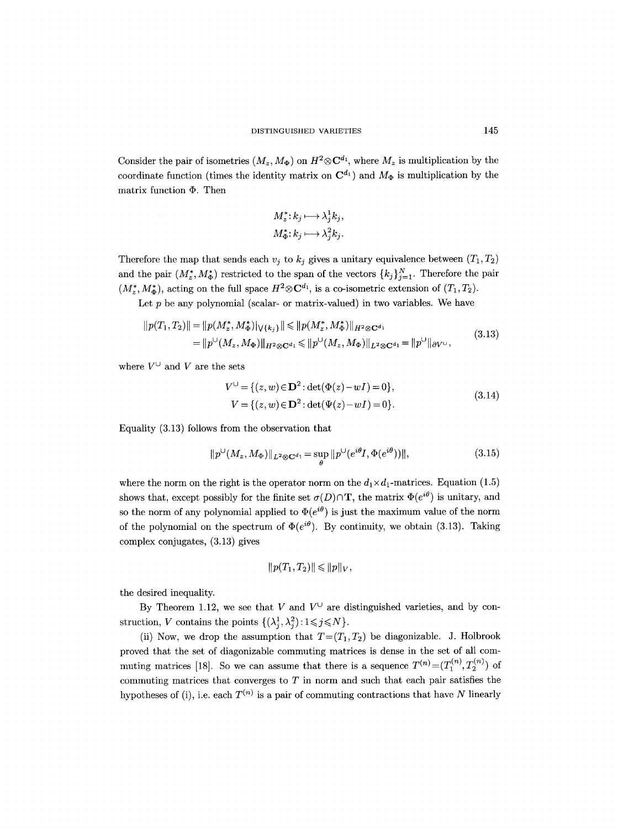Consider the pair of isometries  $(M_z, M_{\Phi})$  on  $H^2 \otimes \mathbb{C}^{d_1}$ , where  $M_z$  is multiplication by the coordinate function (times the identity matrix on  $\mathbb{C}^{d_1}$ ) and  $M_{\Phi}$  is multiplication by the matrix function  $\Phi$ . Then

$$
M_z^* : k_j \longmapsto \lambda_j^1 k_j,
$$
  

$$
M_{\Phi}^* : k_j \longmapsto \lambda_j^2 k_j.
$$

Therefore the map that sends each  $v_j$  to  $k_j$  gives a unitary equivalence between  $(T_1, T_2)$ and the pair  $(M_z^*, M_{\Phi}^*)$  restricted to the span of the vectors  $\{k_j\}_{j=1}^N$ . Therefore the pair  $(M^*_z, M^*_\Phi)$ , acting on the full space  $H^2 \otimes \mathbb{C}^{d_1}$ , is a co-isometric extension of  $(T_1, T_2)$ .

Let  $p$  be any polynomial (scalar- or matrix-valued) in two variables. We have

$$
||p(T_1, T_2)|| = ||p(M_z^*, M_{\Phi}^*)|_{\forall \{k_j\}}|| \le ||p(M_z^*, M_{\Phi}^*)||_{H^2 \otimes \mathbf{C}^{d_1}}= ||p^{\cup}(M_z, M_{\Phi})||_{H^2 \otimes \mathbf{C}^{d_1}} \le ||p^{\cup}(M_z, M_{\Phi})||_{L^2 \otimes \mathbf{C}^{d_1}} = ||p^{\cup}||_{\partial V^{\cup}},
$$
\n(3.13)

where  $V^{\cup}$  and V are the sets

$$
V^{\cup} = \{(z, w) \in \mathbf{D}^2 : \det(\Phi(z) - wI) = 0\},
$$
  
\n
$$
V = \{(z, w) \in \mathbf{D}^2 : \det(\Psi(z) - wI) = 0\}.
$$
\n(3.14)

Equality (3.13) follows from the observation that

$$
||p^{\cup}(M_z, M_{\Phi})||_{L^2 \otimes \mathbf{C}^{d_1}} = \sup_{\theta} ||p^{\cup}(e^{i\theta}I, \Phi(e^{i\theta}))||,
$$
\n(3.15)

where the norm on the right is the operator norm on the  $d_1 \times d_1$ -matrices. Equation (1.5) shows that, except possibly for the finite set  $\sigma(D)\cap\mathbf{T}$ , the matrix  $\Phi(e^{i\theta})$  is unitary, and so the norm of any polynomial applied to  $\Phi(e^{i\theta})$  is just the maximum value of the norm of the polynomial on the spectrum of  $\Phi(e^{i\theta})$ . By continuity, we obtain (3.13). Taking complex conjugates, (3.13) gives

$$
||p(T_1,T_2)|| \leq ||p||_V,
$$

the desired inequality.

By Theorem 1.12, we see that V and  $V^{\cup}$  are distinguished varieties, and by construction, *V* contains the points  $\{(\lambda_i^1, \lambda_i^2): 1 \leq j \leq N\}.$ 

(ii) Now, we drop the assumption that  $T=(T_1,T_2)$  be diagonizable. J. Holbrook proved that the set of diagonizable commuting matrices is dense in the set of all commuting matrices [18]. So we can assume that there is a sequence  $T^{(n)} = (T_1^{(n)}, T_2^{(n)})$  of commuting matrices that converges to  $T$  in norm and such that each pair satisfies the hypotheses of (i), i.e. each  $T^{(n)}$  is a pair of commuting contractions that have N linearly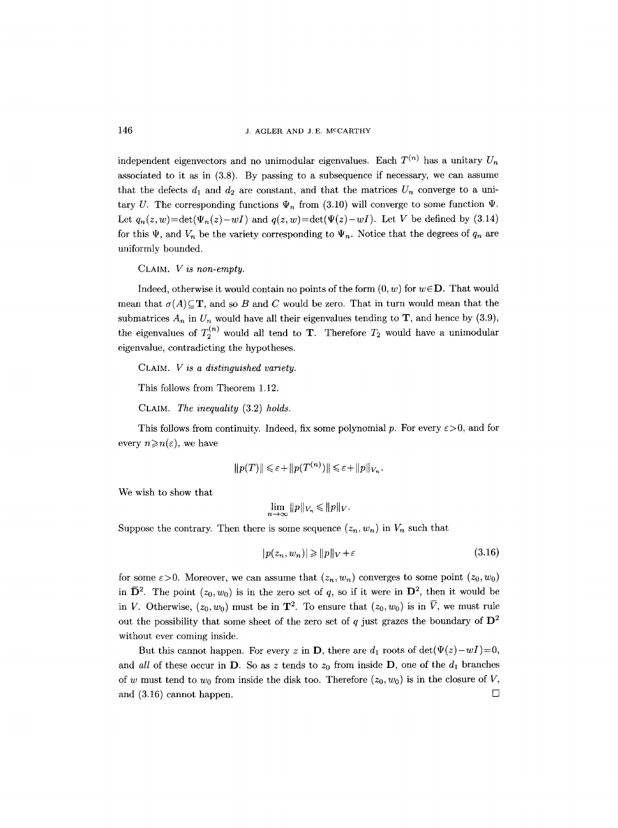independent eigenvectors and no unimodular eigenvalues. Each  $T^{(n)}$  has a unitary  $U_n$ associated to it as in  $(3.8)$ . By passing to a subsequence if necessary, we can assume that the defects  $d_1$  and  $d_2$  are constant, and that the matrices  $U_n$  converge to a unitary U. The corresponding functions  $\Psi_n$  from (3.10) will converge to some function  $\Psi$ . Let  $q_n(z, w) = \det(\Psi_n(z) - wI)$  and  $q(z, w) = \det(\Psi(z) - wI)$ . Let V be defined by (3.14) for this  $\Psi$ , and  $V_n$  be the variety corresponding to  $\Psi_n$ . Notice that the degrees of  $q_n$  are uniformly bounded.

CLAIM. *V i8 non-empty.* 

Indeed, otherwise it would contain no points of the form  $(0, w)$  for  $w \in D$ . That would mean that  $\sigma(A) \subseteq \mathbf{T}$ , and so B and C would be zero. That in turn would mean that the submatrices  $A_n$  in  $U_n$  would have all their eigenvalues tending to **T**, and hence by (3.9), the eigenvalues of  $T_2^{(n)}$  would all tend to **T**. Therefore  $T_2$  would have a unimodular eigenvalue, contradicting the hypotheses.

CLAIM. *V is a distinguished variety.* 

This follows from Theorem 1.12.

CLAIM. *The inequality* (3.2) *holds.* 

This follows from continuity. Indeed, fix some polynomial p. For every  $\varepsilon > 0$ , and for every  $n \geqslant n(\varepsilon)$ , we have

$$
||p(T)|| \leq \varepsilon + ||p(T^{(n)})|| \leq \varepsilon + ||p||_{V_n}.
$$

We wish to show that

$$
\lim_{n\to\infty}||p||_{V_n}\leq ||p||_V.
$$

Suppose the contrary. Then there is some sequence  $(z_n, w_n)$  in  $V_n$  such that

$$
|p(z_n, w_n)| \geqslant ||p||_V + \varepsilon \tag{3.16}
$$

for some  $\varepsilon > 0$ . Moreover, we can assume that  $(z_n, w_n)$  converges to some point  $(z_0, w_0)$ in  $\bar{\mathbf{D}}^2$ . The point  $(z_0, w_0)$  is in the zero set of q, so if it were in  $\mathbf{D}^2$ , then it would be in V. Otherwise,  $(z_0, w_0)$  must be in  $\mathbf{T}^2$ . To ensure that  $(z_0, w_0)$  is in  $\overline{V}$ , we must rule out the possibility that some sheet of the zero set of q just grazes the boundary of  $\mathbf{D}^2$ without ever coming inside.

But this cannot happen. For every z in **D**, there are  $d_1$  roots of  $\det(\Psi(z)-wI)=0$ , and *all* of these occur in **D**. So as z tends to  $z_0$  from inside **D**, one of the  $d_1$  branches of w must tend to  $w_0$  from inside the disk too. Therefore  $(z_0, w_0)$  is in the closure of V, and  $(3.16)$  cannot happen.  $\square$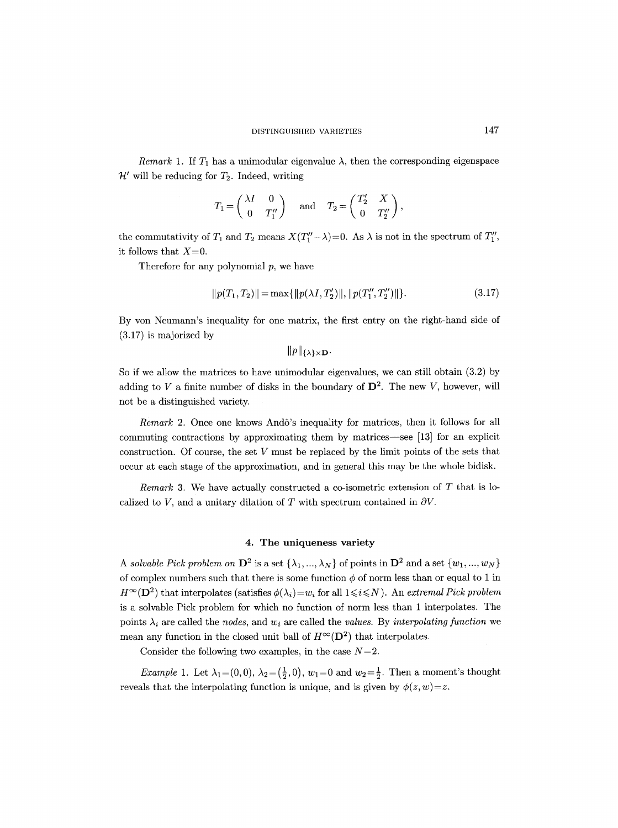*Remark* 1. If  $T_1$  has a unimodular eigenvalue  $\lambda$ , then the corresponding eigenspace  $\mathcal{H}'$  will be reducing for  $T_2$ . Indeed, writing

$$
T_1 = \begin{pmatrix} \lambda I & 0 \\ 0 & T_1'' \end{pmatrix}
$$
 and  $T_2 = \begin{pmatrix} T_2' & X \\ 0 & T_2'' \end{pmatrix}$ ,

the commutativity of  $T_1$  and  $T_2$  means  $X(T''_1 - \lambda) = 0$ . As  $\lambda$  is not in the spectrum of  $T''_1$ , it follows that  $X=0$ .

Therefore for any polynomial  $p$ , we have

$$
||p(T_1, T_2)|| = \max{||p(\lambda I, T_2')||, ||p(T_1'', T_2'')||}.
$$
\n(3.17)

By yon Neumann's inequality for one matrix, the first entry on the right-hand side of (3.17) is majorized by

 $||p||_{\{\lambda\}\times D}$ .

So if we allow the matrices to have unimodular eigenvalues, we can still obtain (3.2) by adding to V a finite number of disks in the boundary of  $\mathbf{D}^2$ . The new V, however, will not be a distinguished variety.

*Remark* 2. Once one knows And6's inequality for matrices, then it follows for all commuting contractions by approximating them by matrices-see [13] for an explicit construction. Of course, the set  $V$  must be replaced by the limit points of the sets that occur at each stage of the approximation, and in general this may be the whole bidisk.

*Remark* 3. We have actually constructed a co-isometric extension of T that is localized to V, and a unitary dilation of T with spectrum contained in  $\partial V$ .

### 4. The uniqueness **variety**

*A solvable Pick problem on*  $\mathbf{D}^2$  is a set  $\{\lambda_1, ..., \lambda_N\}$  of points in  $\mathbf{D}^2$  and a set  $\{w_1, ..., w_N\}$ of complex numbers such that there is some function  $\phi$  of norm less than or equal to 1 in  $H^{\infty}(\mathbf{D}^2)$  that interpolates (satisfies  $\phi(\lambda_i) = w_i$  for all  $1 \leq i \leq N$ ). An *extremal Pick problem* is a solvable Pick problem for which no function of norm less than 1 interpolates. The points  $\lambda_i$  are called the *nodes*, and  $w_i$  are called the *values.* By *interpolating function* we mean any function in the closed unit ball of  $H^{\infty}(\mathbf{D}^2)$  that interpolates.

Consider the following two examples, in the case  $N=2$ .

*Example 1.* Let  $\lambda_1 = (0,0), \lambda_2 = (\frac{1}{2},0), w_1 = 0$  and  $w_2 = \frac{1}{2}$ . Then a moment's thought reveals that the interpolating function is unique, and is given by  $\phi(z, w) = z$ .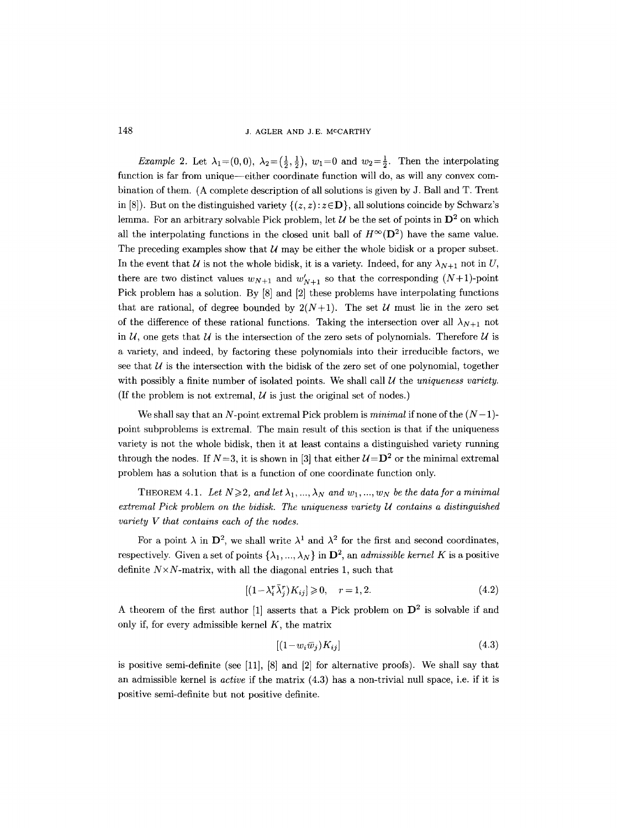148 J. AGLER AND J.E. MCCARTHY

*Example 2.* Let  $\lambda_1 = (0,0)$ ,  $\lambda_2 = (\frac{1}{2},\frac{1}{2})$ ,  $w_1 = 0$  and  $w_2 = \frac{1}{2}$ . Then the interpolating function is far from unique--either coordinate function will do, as will any convex combination of them. (A complete description of all solutions is given by J. Ball and T. Trent in [8]). But on the distinguished variety  $\{(z, z) : z \in \mathbf{D}\}\)$ , all solutions coincide by Schwarz's lemma. For an arbitrary solvable Pick problem, let  $\mathcal U$  be the set of points in  $\mathbf D^2$  on which all the interpolating functions in the closed unit ball of  $H^{\infty}(\mathbf{D}^2)$  have the same value. The preceding examples show that  $U$  may be either the whole bidisk or a proper subset. In the event that U is not the whole bidisk, it is a variety. Indeed, for any  $\lambda_{N+1}$  not in U, there are two distinct values  $w_{N+1}$  and  $w'_{N+1}$  so that the corresponding  $(N+1)$ -point Pick problem has a solution. By [8] and [2] these problems have interpolating functions that are rational, of degree bounded by  $2(N+1)$ . The set U must lie in the zero set of the difference of these rational functions. Taking the intersection over all  $\lambda_{N+1}$  not in  $\mathcal{U}$ , one gets that  $\mathcal{U}$  is the intersection of the zero sets of polynomials. Therefore  $\mathcal{U}$  is a variety, and indeed, by factoring these polynomials into their irreducible factors, we see that  $U$  is the intersection with the bidisk of the zero set of one polynomial, together with possibly a finite number of isolated points. We shall call  $U$  the *uniqueness variety.* (If the problem is not extremal,  $\mathcal U$  is just the original set of nodes.)

We shall say that an N-point extremal Pick problem is *minimal* if none of the  $(N-1)$ point subproblems is extremal. The main result of this section is that if the uniqueness variety is not the whole bidisk, then it at least contains a distinguished variety running through the nodes. If  $N=3$ , it is shown in [3] that either  $\mathcal{U}=\mathbf{D}^2$  or the minimal extremal problem has a solution that is a function of one coordinate function only.

THEOREM 4.1. Let  $N \geq 2$ , and let  $\lambda_1, ..., \lambda_N$  and  $w_1, ..., w_N$  be the data for a minimal *extremal Pick problem on the bidisk. The uniqueness variety U contains a distinguished variety V that contains each of the nodes.* 

For a point  $\lambda$  in  $\mathbf{D}^2$ , we shall write  $\lambda^1$  and  $\lambda^2$  for the first and second coordinates, respectively. Given a set of points  $\{\lambda_1, ..., \lambda_N\}$  in  $\mathbf{D}^2$ , an *admissible kernel K* is a positive definite  $N \times N$ -matrix, with all the diagonal entries 1, such that

$$
[(1 - \lambda_i^r \bar{\lambda}_i^r) K_{ij}] \ge 0, \quad r = 1, 2. \tag{4.2}
$$

A theorem of the first author [1] asserts that a Pick problem on  $\mathbf{D}^2$  is solvable if and only if, for every admissible kernel  $K$ , the matrix

$$
[(1 - w_i \bar{w}_j)K_{ij}] \tag{4.3}
$$

is positive semi-definite (see [11], [8] and [2] for alternative proofs). We shall say that an admissible kernel is *active* if the matrix (4.3) has a non-trivial null space, i.e. if it is positive semi-definite but not positive definite.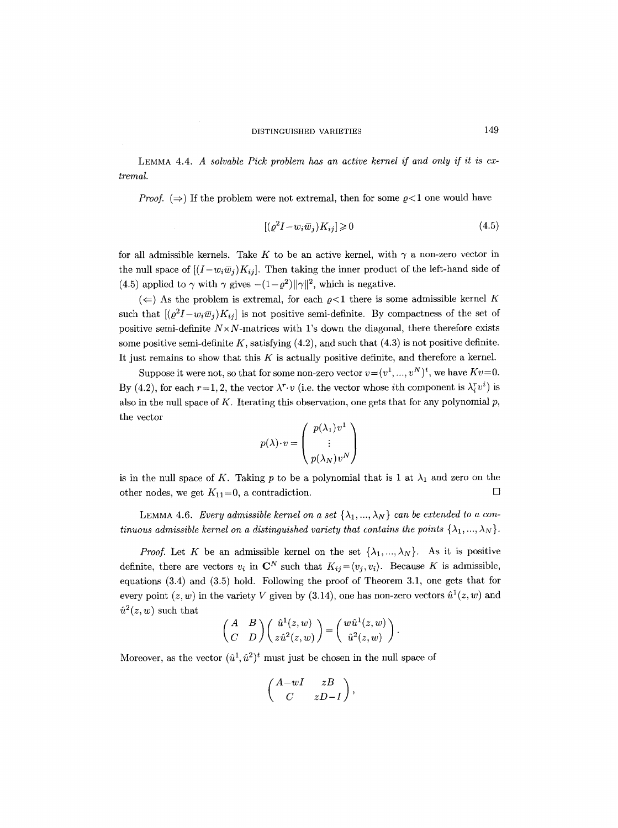LEMMA 4.4. *A solvable Pick problem has an active kernel if and only if it is extremal.* 

*Proof.*  $(\Rightarrow)$  If the problem were not extremal, then for some  $\rho < 1$  one would have

$$
[(\varrho^2 I - w_i \overline{w}_j) K_{ij}] \geq 0 \tag{4.5}
$$

for all admissible kernels. Take K to be an active kernel, with  $\gamma$  a non-zero vector in the null space of  $[(I-w_i\overline{w}_i)K_{ij}]$ . Then taking the inner product of the left-hand side of (4.5) applied to  $\gamma$  with  $\gamma$  gives  $-(1-\rho^2) ||\gamma||^2$ , which is negative.

 $(\Leftarrow)$  As the problem is extremal, for each  $\rho < 1$  there is some admissible kernel K such that  $[(\varrho^2 I - w_i \overline{w}_j)K_{ij}]$  is not positive semi-definite. By compactness of the set of positive semi-definite  $N \times N$ -matrices with l's down the diagonal, there therefore exists some positive semi-definite  $K$ , satisfying  $(4.2)$ , and such that  $(4.3)$  is not positive definite. It just remains to show that this  $K$  is actually positive definite, and therefore a kernel.

Suppose it were not, so that for some non-zero vector  $v = (v^1, ..., v^N)^t$ , we have  $Kv = 0$ . By (4.2), for each  $r=1, 2$ , the vector  $\lambda^r \cdot v$  (i.e. the vector whose ith component is  $\lambda_i^r v^i$ ) is also in the null space of K. Iterating this observation, one gets that for any polynomial  $p$ , the vector

$$
p(\lambda) \cdot v = \begin{pmatrix} p(\lambda_1) v^1 \\ \vdots \\ p(\lambda_N) v^N \end{pmatrix}
$$

is in the null space of K. Taking p to be a polynomial that is 1 at  $\lambda_1$  and zero on the other nodes, we get  $K_{11}=0$ , a contradiction.  $\square$ 

LEMMA 4.6. *Every admissible kernel on a set*  $\{\lambda_1, ..., \lambda_N\}$  *can be extended to a continuous admissible kernel on a distinguished variety that contains the points*  $\{\lambda_1, ..., \lambda_N\}$ .

*Proof.* Let K be an admissible kernel on the set  $\{\lambda_1, ..., \lambda_N\}$ . As it is positive definite, there are vectors  $v_i$  in  $\mathbb{C}^N$  such that  $K_{ij} = \langle v_j, v_i \rangle$ . Because K is admissible, equations (3.4) and (3.5) hold. Following the proof of Theorem 3.1, one gets that for every point  $(z, w)$  in the variety V given by (3.14), one has non-zero vectors  $\hat{u}^1(z, w)$  and  $\hat{u}^2(z, w)$  such that

$$
\begin{pmatrix} A & B \\ C & D \end{pmatrix} \begin{pmatrix} \hat{u}^1(z,w) \\ z \hat{u}^2(z,w) \end{pmatrix} = \begin{pmatrix} w \hat{u}^1(z,w) \\ \hat{u}^2(z,w) \end{pmatrix}.
$$

Moreover, as the vector  $(\hat{u}^1, \hat{u}^2)^t$  must just be chosen in the null space of

$$
\left(\begin{array}{cc}A-wI & zB \\ C & zD-I\end{array}\right),\,
$$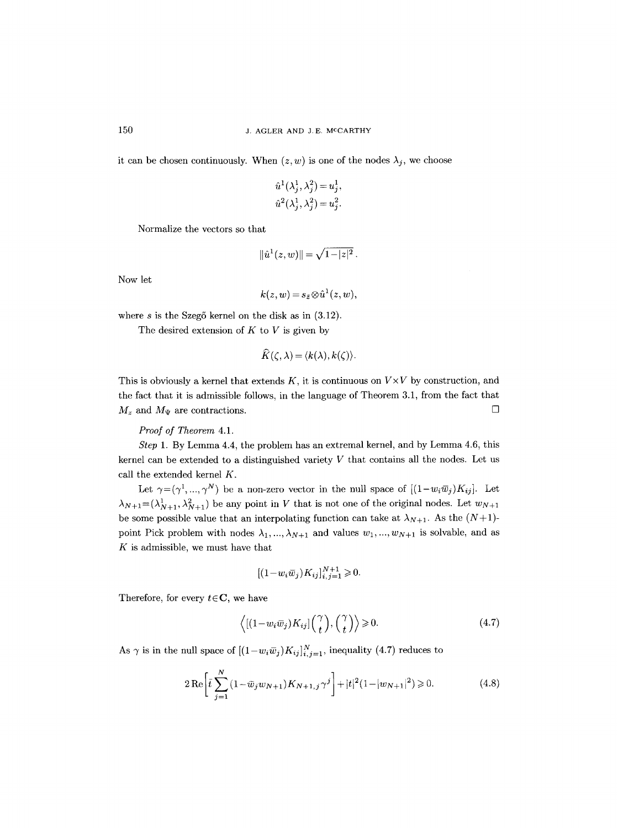it can be chosen continuously. When  $(z, w)$  is one of the nodes  $\lambda_j$ , we choose

$$
\begin{aligned} \hat{u}^1(\lambda_j^1,\lambda_j^2) = u_j^1,\\ \hat{u}^2(\lambda_j^1,\lambda_j^2) = u_j^2. \end{aligned}
$$

Normalize the vectors so that

$$
\|\hat{u}^1(z,w)\|=\sqrt{1-|z|^2}\,.
$$

Now let

$$
k(z,w)\!=\!s_{\bar z}\!\otimes\!\hat u^1(z,w),
$$

where  $s$  is the Szegő kernel on the disk as in  $(3.12)$ .

The desired extension of  $K$  to  $V$  is given by

$$
\widehat{K}(\zeta,\lambda)=\langle k(\lambda),k(\zeta)\rangle.
$$

This is obviously a kernel that extends  $K$ , it is continuous on  $V \times V$  by construction, and the fact that it is admissible follows, in the language of Theorem 3.1, from the fact that  $M_z$  and  $M_{\Psi}$  are contractions.

### *Proof of Theorem* 4.1.

*Step* 1. By Lemma 4.4, the problem has an extremal kernel, and by Lemma 4.6, this kernel can be extended to a distinguished variety  $V$  that contains all the nodes. Let us call the extended kernel K.

Let  $\gamma=(\gamma^1, ..., \gamma^N)$  be a non-zero vector in the null space of  $[(1-w_i\overline{w}_j)K_{ij}]$ . Let  $\lambda_{N+1}=(\lambda_{N+1}^1, \lambda_{N+1}^2)$  be any point in V that is not one of the original nodes. Let  $w_{N+1}$ be some possible value that an interpolating function can take at  $\lambda_{N+1}$ . As the  $(N+1)$ point Pick problem with nodes  $\lambda_1, ..., \lambda_{N+1}$  and values  $w_1, ..., w_{N+1}$  is solvable, and as  $K$  is admissible, we must have that

$$
[(1 - w_i \overline{w}_j) K_{ij}]_{i,j=1}^{N+1} \geq 0.
$$

Therefore, for every  $t \in \mathbb{C}$ , we have

$$
\langle [(1 - w_i \overline{w}_j) K_{ij}] \binom{\gamma}{t}, \binom{\gamma}{t} \rangle \ge 0. \tag{4.7}
$$

As  $\gamma$  is in the null space of  $[(1-w_i\overline{w}_j)K_{ij}]_{i,j=1}^N$ , inequality (4.7) reduces to

$$
2\operatorname{Re}\left[\bar{t}\sum_{j=1}^{N}\left(1-\bar{w}_jw_{N+1}\right)K_{N+1,j}\gamma^j\right] + |t|^2(1-|w_{N+1}|^2) \geqslant 0. \tag{4.8}
$$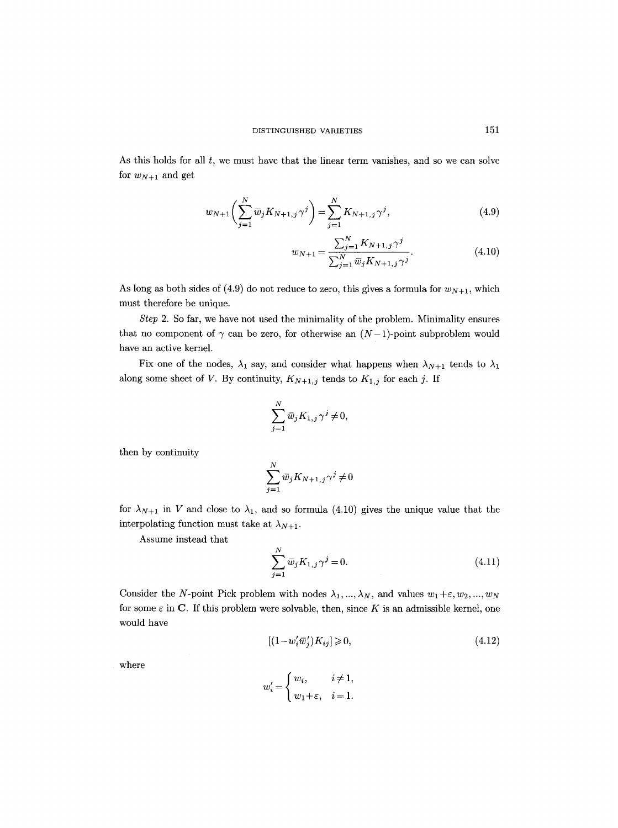As this holds for all  $t$ , we must have that the linear term vanishes, and so we can solve for  $w_{N+1}$  and get

$$
w_{N+1}\left(\sum_{j=1}^{N}\overline{w}_{j}K_{N+1,j}\gamma^{j}\right) = \sum_{j=1}^{N}K_{N+1,j}\gamma^{j},\tag{4.9}
$$

$$
w_{N+1} = \frac{\sum_{j=1}^{N} K_{N+1,j} \gamma^j}{\sum_{j=1}^{N} \overline{w}_j K_{N+1,j} \gamma^j}.
$$
\n(4.10)

As long as both sides of (4.9) do not reduce to zero, this gives a formula for  $w_{N+1}$ , which must therefore be unique.

*Step* 2. So far, we have not used the minimality of the problem. Minimality ensures that no component of  $\gamma$  can be zero, for otherwise an  $(N-1)$ -point subproblem would have an active kernel.

Fix one of the nodes,  $\lambda_1$  say, and consider what happens when  $\lambda_{N+1}$  tends to  $\lambda_1$ along some sheet of V. By continuity,  $K_{N+1,j}$  tends to  $K_{1,j}$  for each j. If

$$
\sum_{j=1}^N \bar{w}_j K_{1,j} \gamma^j \neq 0,
$$

then by continuity

$$
\sum_{j=1}^N \bar{w}_j K_{N+1,j} \gamma^j \neq 0
$$

for  $\lambda_{N+1}$  in V and close to  $\lambda_1$ , and so formula (4.10) gives the unique value that the interpolating function must take at  $\lambda_{N+1}$ .

Assume instead that

$$
\sum_{j=1}^{N} \overline{w}_j K_{1,j} \gamma^j = 0.
$$
\n(4.11)

Consider the N-point Pick problem with nodes  $\lambda_1, ..., \lambda_N$ , and values  $w_1 + \varepsilon, w_2, ..., w_N$ for some  $\varepsilon$  in C. If this problem were solvable, then, since K is an admissible kernel, one would have

$$
[(1 - w_i' \overline{w}_j') K_{ij}] \geqslant 0,\tag{4.12}
$$

where

$$
w'_{i} = \begin{cases} w_{i}, & i \neq 1, \\ w_{1} + \varepsilon, & i = 1. \end{cases}
$$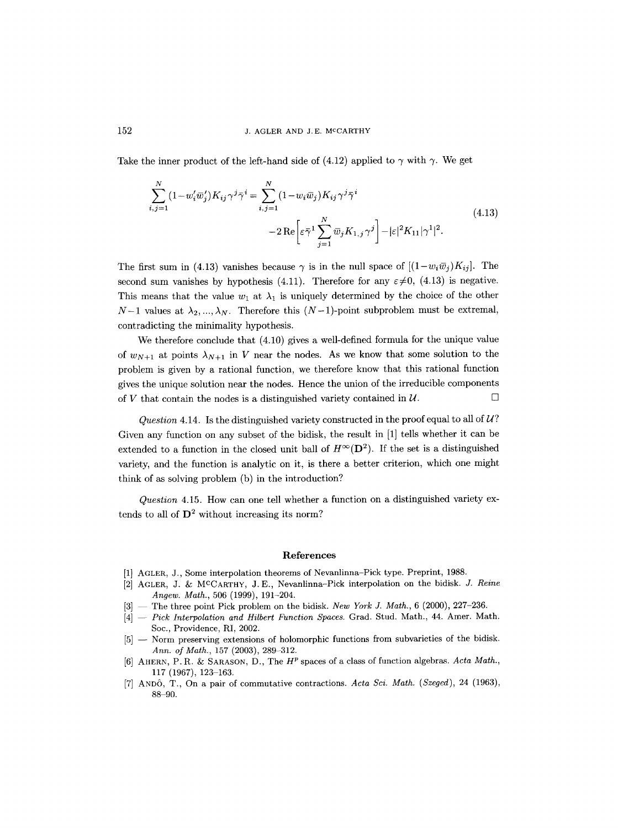Take the inner product of the left-hand side of (4.12) applied to  $\gamma$  with  $\gamma$ . We get

$$
\sum_{i,j=1}^{N} (1 - w'_i \overline{w}'_j) K_{ij} \gamma^j \overline{\gamma}^i = \sum_{i,j=1}^{N} (1 - w_i \overline{w}_j) K_{ij} \gamma^j \overline{\gamma}^i
$$
  
- 2 Re  $\left[ \varepsilon \overline{\gamma}^1 \sum_{j=1}^{N} \overline{w}_j K_{1,j} \gamma^j \right] - |\varepsilon|^2 K_{11} |\gamma^1|^2.$  (4.13)

The first sum in (4.13) vanishes because  $\gamma$  is in the null space of  $[(1-w_i\overline{w}_j)K_{ij}]$ . The second sum vanishes by hypothesis (4.11). Therefore for any  $\varepsilon \neq 0$ , (4.13) is negative. This means that the value  $w_1$  at  $\lambda_1$  is uniquely determined by the choice of the other  $N-1$  values at  $\lambda_2, ..., \lambda_N$ . Therefore this  $(N-1)$ -point subproblem must be extremal, contradicting the minimality hypothesis.

We therefore conclude that (4.10) gives a well-defined formula for the unique value of  $w_{N+1}$  at points  $\lambda_{N+1}$  in V near the nodes. As we know that some solution to the problem is given by a rational function, we therefore know that this rational function gives the unique solution near the nodes. Hence the union of the irreducible components of V that contain the nodes is a distinguished variety contained in  $\mathcal{U}$ .

*Question* 4.14. Is the distinguished variety constructed in the proof equal to all of  $U$ ? Given any function on any subset of the bidisk, the result in [1] tells whether it can be extended to a function in the closed unit ball of  $H^{\infty}(\mathbf{D}^2)$ . If the set is a distinguished variety, and the function is analytic on it, is there a better criterion, which one might think of as solving problem (b) in the introduction?

*Question* 4.15. How can one tell whether a function on a distinguished variety extends to all of  $\mathbf{D}^2$  without increasing its norm?

#### **References**

- [1] AGLER, J., Some interpolation theorems of Nevanlinna-Pick type. Preprint, 1988.
- [2] AGLER, J. & M<sup>C</sup>CARTHY, J.E., Nevanlinna-Pick interpolation on the bidisk. *J. Reine Angew. Math.,* 506 (1999), 191-204.
- [3] -- The three point Pick problem on the bidisk. *New York J. Math.,* 6 (2000), 227-236.
- [4]  $-$  *Pick Interpolation and Hilbert Function Spaces.* Grad. Stud. Math., 44. Amer. Math. Soc., Providence, RI, 2002.
- [5] -- Norm preserving extensions of holomorphic functions from subvarieties of the bidisk. *Ann. of Math.,* 157 (2003), 289-312.
- [6] AHERN, P.R. & SARASON, D., The  $H^p$  spaces of a class of function algebras. Acta Math., 117 (1967), 123-163.
- [7] AND(), T., On a pair of commutative contractions. *Acta Sci. Math. (Szeged),* 24 (1963), 88-90.